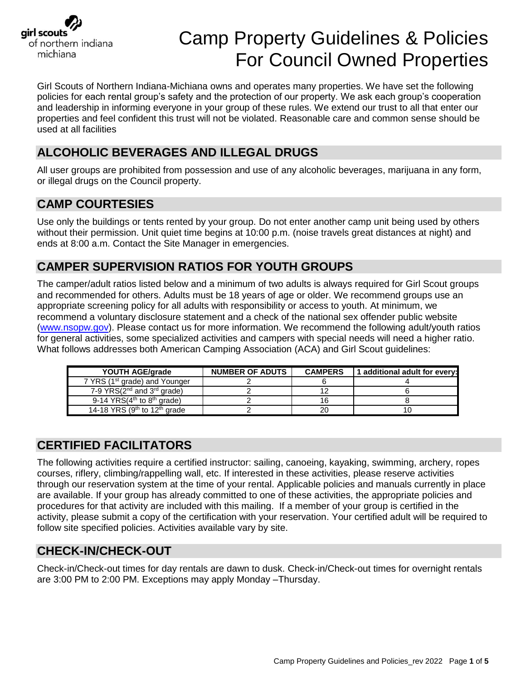

# Camp Property Guidelines & Policies For Council Owned Properties

Girl Scouts of Northern Indiana-Michiana owns and operates many properties. We have set the following policies for each rental group's safety and the protection of our property. We ask each group's cooperation and leadership in informing everyone in your group of these rules. We extend our trust to all that enter our properties and feel confident this trust will not be violated. Reasonable care and common sense should be used at all facilities

## **ALCOHOLIC BEVERAGES AND ILLEGAL DRUGS**

All user groups are prohibited from possession and use of any alcoholic beverages, marijuana in any form, or illegal drugs on the Council property.

## **CAMP COURTESIES**

Use only the buildings or tents rented by your group. Do not enter another camp unit being used by others without their permission. Unit quiet time begins at 10:00 p.m. (noise travels great distances at night) and ends at 8:00 a.m. Contact the Site Manager in emergencies.

## **CAMPER SUPERVISION RATIOS FOR YOUTH GROUPS**

The camper/adult ratios listed below and a minimum of two adults is always required for Girl Scout groups and recommended for others. Adults must be 18 years of age or older. We recommend groups use an appropriate screening policy for all adults with responsibility or access to youth. At minimum, we recommend a voluntary disclosure statement and a check of the national sex offender public website [\(www.nsopw.gov\)](http://www.nsopw.gov/). Please contact us for more information. We recommend the following adult/youth ratios for general activities, some specialized activities and campers with special needs will need a higher ratio. What follows addresses both American Camping Association (ACA) and Girl Scout guidelines:

| YOUTH AGE/grade                                      | <b>NUMBER OF ADUTS</b> | <b>CAMPERS</b> | 1 additional adult for every: |
|------------------------------------------------------|------------------------|----------------|-------------------------------|
| 7 YRS (1 <sup>st</sup> grade) and Younger            |                        |                |                               |
| 7-9 YRS $(2^{nd}$ and $3^{rd}$ grade)                |                        |                |                               |
| 9-14 YRS $(4th$ to $8th$ grade)                      |                        |                |                               |
| 14-18 YRS (9 <sup>th</sup> to 12 <sup>th</sup> grade |                        |                |                               |

### **CERTIFIED FACILITATORS**

The following activities require a certified instructor: sailing, canoeing, kayaking, swimming, archery, ropes courses, riflery, climbing/rappelling wall, etc. If interested in these activities, please reserve activities through our reservation system at the time of your rental. Applicable policies and manuals currently in place are available. If your group has already committed to one of these activities, the appropriate policies and procedures for that activity are included with this mailing. If a member of your group is certified in the activity, please submit a copy of the certification with your reservation. Your certified adult will be required to follow site specified policies. Activities available vary by site.

### **CHECK-IN/CHECK-OUT**

Check-in/Check-out times for day rentals are dawn to dusk. Check-in/Check-out times for overnight rentals are 3:00 PM to 2:00 PM. Exceptions may apply Monday –Thursday.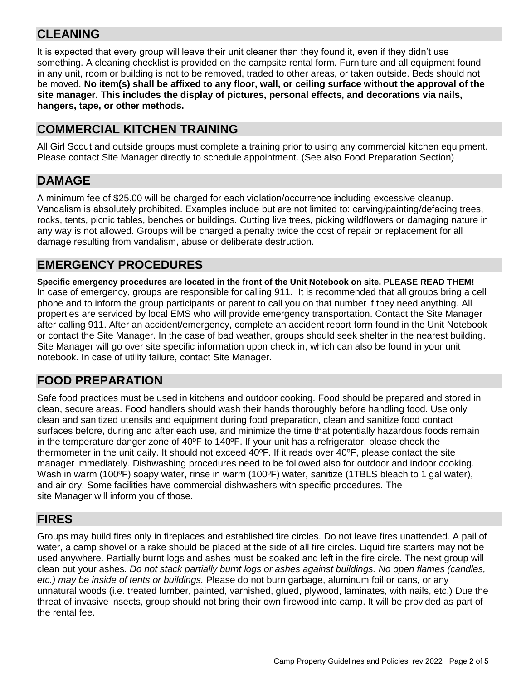## **CLEANING**

It is expected that every group will leave their unit cleaner than they found it, even if they didn't use something. A cleaning checklist is provided on the campsite rental form. Furniture and all equipment found in any unit, room or building is not to be removed, traded to other areas, or taken outside. Beds should not be moved. **No item(s) shall be affixed to any floor, wall, or ceiling surface without the approval of the site manager. This includes the display of pictures, personal effects, and decorations via nails, hangers, tape, or other methods.**

#### **COMMERCIAL KITCHEN TRAINING**

All Girl Scout and outside groups must complete a training prior to using any commercial kitchen equipment. Please contact Site Manager directly to schedule appointment. (See also Food Preparation Section)

#### **DAMAGE**

A minimum fee of \$25.00 will be charged for each violation/occurrence including excessive cleanup. Vandalism is absolutely prohibited. Examples include but are not limited to: carving/painting/defacing trees, rocks, tents, picnic tables, benches or buildings. Cutting live trees, picking wildflowers or damaging nature in any way is not allowed. Groups will be charged a penalty twice the cost of repair or replacement for all damage resulting from vandalism, abuse or deliberate destruction.

#### **EMERGENCY PROCEDURES**

**Specific emergency procedures are located in the front of the Unit Notebook on site. PLEASE READ THEM!**  In case of emergency, groups are responsible for calling 911. It is recommended that all groups bring a cell phone and to inform the group participants or parent to call you on that number if they need anything. All properties are serviced by local EMS who will provide emergency transportation. Contact the Site Manager after calling 911. After an accident/emergency, complete an accident report form found in the Unit Notebook or contact the Site Manager. In the case of bad weather, groups should seek shelter in the nearest building. Site Manager will go over site specific information upon check in, which can also be found in your unit notebook. In case of utility failure, contact Site Manager.

#### **FOOD PREPARATION**

Safe food practices must be used in kitchens and outdoor cooking. Food should be prepared and stored in clean, secure areas. Food handlers should wash their hands thoroughly before handling food. Use only clean and sanitized utensils and equipment during food preparation, clean and sanitize food contact surfaces before, during and after each use, and minimize the time that potentially hazardous foods remain in the temperature danger zone of  $40^{\circ}$ F to  $140^{\circ}$ F. If your unit has a refrigerator, please check the thermometer in the unit daily. It should not exceed 40ºF. If it reads over 40ºF, please contact the site manager immediately. Dishwashing procedures need to be followed also for outdoor and indoor cooking. Wash in warm (100°F) soapy water, rinse in warm (100°F) water, sanitize (1TBLS bleach to 1 gal water), and air dry. Some facilities have commercial dishwashers with specific procedures. The site Manager will inform you of those.

#### **FIRES**

Groups may build fires only in fireplaces and established fire circles. Do not leave fires unattended. A pail of water, a camp shovel or a rake should be placed at the side of all fire circles. Liquid fire starters may not be used anywhere. Partially burnt logs and ashes must be soaked and left in the fire circle. The next group will clean out your ashes. *Do not stack partially burnt logs or ashes against buildings. No open flames (candles, etc.) may be inside of tents or buildings.* Please do not burn garbage, aluminum foil or cans, or any unnatural woods (i.e. treated lumber, painted, varnished, glued, plywood, laminates, with nails, etc.) Due the threat of invasive insects, group should not bring their own firewood into camp. It will be provided as part of the rental fee.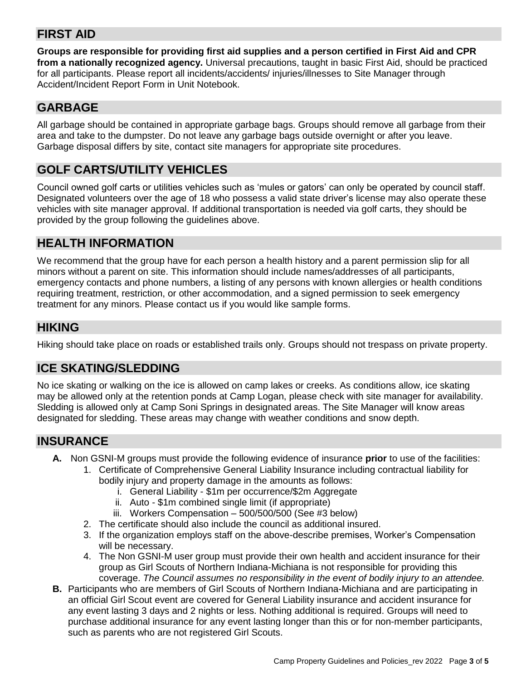## **FIRST AID**

**Groups are responsible for providing first aid supplies and a person certified in First Aid and CPR from a nationally recognized agency.** Universal precautions, taught in basic First Aid, should be practiced for all participants. Please report all incidents/accidents/ injuries/illnesses to Site Manager through Accident/Incident Report Form in Unit Notebook.

## **GARBAGE**

All garbage should be contained in appropriate garbage bags. Groups should remove all garbage from their area and take to the dumpster. Do not leave any garbage bags outside overnight or after you leave. Garbage disposal differs by site, contact site managers for appropriate site procedures.

## **GOLF CARTS/UTILITY VEHICLES**

Council owned golf carts or utilities vehicles such as 'mules or gators' can only be operated by council staff. Designated volunteers over the age of 18 who possess a valid state driver's license may also operate these vehicles with site manager approval. If additional transportation is needed via golf carts, they should be provided by the group following the guidelines above.

#### **HEALTH INFORMATION**

We recommend that the group have for each person a health history and a parent permission slip for all minors without a parent on site. This information should include names/addresses of all participants, emergency contacts and phone numbers, a listing of any persons with known allergies or health conditions requiring treatment, restriction, or other accommodation, and a signed permission to seek emergency treatment for any minors. Please contact us if you would like sample forms.

### **HIKING**

Hiking should take place on roads or established trails only. Groups should not trespass on private property.

#### **ICE SKATING/SLEDDING**

No ice skating or walking on the ice is allowed on camp lakes or creeks. As conditions allow, ice skating may be allowed only at the retention ponds at Camp Logan, please check with site manager for availability. Sledding is allowed only at Camp Soni Springs in designated areas. The Site Manager will know areas designated for sledding. These areas may change with weather conditions and snow depth.

#### **INSURANCE**

- **A.** Non GSNI-M groups must provide the following evidence of insurance **prior** to use of the facilities:
	- 1. Certificate of Comprehensive General Liability Insurance including contractual liability for
		- bodily injury and property damage in the amounts as follows:
			- i. General Liability \$1m per occurrence/\$2m Aggregate
			- ii. Auto \$1m combined single limit (if appropriate)
			- iii. Workers Compensation 500/500/500 (See #3 below)
	- 2. The certificate should also include the council as additional insured.
	- 3. If the organization employs staff on the above-describe premises, Worker's Compensation will be necessary.
	- 4. The Non GSNI-M user group must provide their own health and accident insurance for their group as Girl Scouts of Northern Indiana-Michiana is not responsible for providing this coverage. *The Council assumes no responsibility in the event of bodily injury to an attendee.*
- **B.** Participants who are members of Girl Scouts of Northern Indiana-Michiana and are participating in an official Girl Scout event are covered for General Liability insurance and accident insurance for any event lasting 3 days and 2 nights or less. Nothing additional is required. Groups will need to purchase additional insurance for any event lasting longer than this or for non-member participants, such as parents who are not registered Girl Scouts.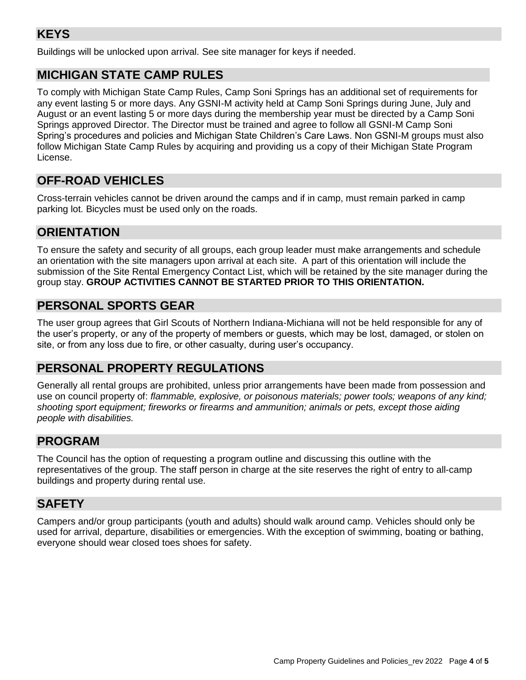## **KEYS**

Buildings will be unlocked upon arrival. See site manager for keys if needed.

### **MICHIGAN STATE CAMP RULES**

To comply with Michigan State Camp Rules, Camp Soni Springs has an additional set of requirements for any event lasting 5 or more days. Any GSNI-M activity held at Camp Soni Springs during June, July and August or an event lasting 5 or more days during the membership year must be directed by a Camp Soni Springs approved Director. The Director must be trained and agree to follow all GSNI-M Camp Soni Spring's procedures and policies and Michigan State Children's Care Laws. Non GSNI-M groups must also follow Michigan State Camp Rules by acquiring and providing us a copy of their Michigan State Program License.

## **OFF-ROAD VEHICLES**

Cross-terrain vehicles cannot be driven around the camps and if in camp, must remain parked in camp parking lot. Bicycles must be used only on the roads.

#### **ORIENTATION**

To ensure the safety and security of all groups, each group leader must make arrangements and schedule an orientation with the site managers upon arrival at each site. A part of this orientation will include the submission of the Site Rental Emergency Contact List, which will be retained by the site manager during the group stay. **GROUP ACTIVITIES CANNOT BE STARTED PRIOR TO THIS ORIENTATION.**

## **PERSONAL SPORTS GEAR**

The user group agrees that Girl Scouts of Northern Indiana-Michiana will not be held responsible for any of the user's property, or any of the property of members or guests, which may be lost, damaged, or stolen on site, or from any loss due to fire, or other casualty, during user's occupancy.

#### **PERSONAL PROPERTY REGULATIONS**

Generally all rental groups are prohibited, unless prior arrangements have been made from possession and use on council property of: *flammable, explosive, or poisonous materials; power tools; weapons of any kind; shooting sport equipment; fireworks or firearms and ammunition; animals or pets, except those aiding people with disabilities.*

#### **PROGRAM**

The Council has the option of requesting a program outline and discussing this outline with the representatives of the group. The staff person in charge at the site reserves the right of entry to all-camp buildings and property during rental use.

### **SAFETY**

Campers and/or group participants (youth and adults) should walk around camp. Vehicles should only be used for arrival, departure, disabilities or emergencies. With the exception of swimming, boating or bathing, everyone should wear closed toes shoes for safety.